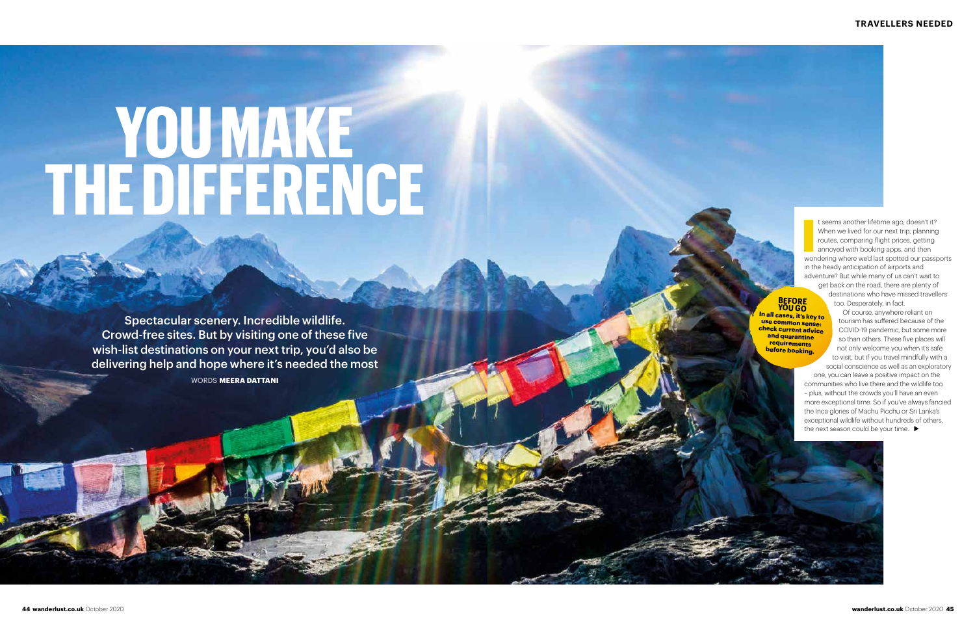Interest same the lifetime ago, doesn't it?<br>
When we lived for our next trip, planning<br>
routes, comparing flight prices, getting<br>
annoyed with booking apps, and then<br>
wondering where we'd last spotted our passports t seems another lifetime ago, doesn't it? When we lived for our next trip, planning routes, comparing flight prices, getting annoyed with booking apps, and then in the heady anticipation of airports and adventure? But while many of us can't wait to get back on the road, there are plenty of destinations who have missed travellers too. Desperately, in fact.

one, you can leave a positive impact on the communities who live there and the wildlife too – plus, without the crowds you'll have an even more exceptional time. So if you've always fancied the Inca glories of Machu Picchu or Sri Lanka's exceptional wildlife without hundreds of others, the next season could be your time.  $\blacktriangleright$ 



Of course, anywhere reliant on tourism has suffered because of the COVID-19 pandemic, but some more so than others. These five places will not only welcome you when it's safe to visit, but if you travel mindfully with a social conscience as well as an exploratory

### **BEFORE YOU GO In all cases, it's key to**

**use common sense: check current advice and quarantine requirements before booking.** 

Spectacular scenery. Incredible wildlife. Crowd-free sites. But by visiting one of these five wish-list destinations on your next trip, you'd also be delivering help and hope where it's needed the most

### **YOU MAKE THE DIFFERENCE**

WORDS **MEERA DATTANI**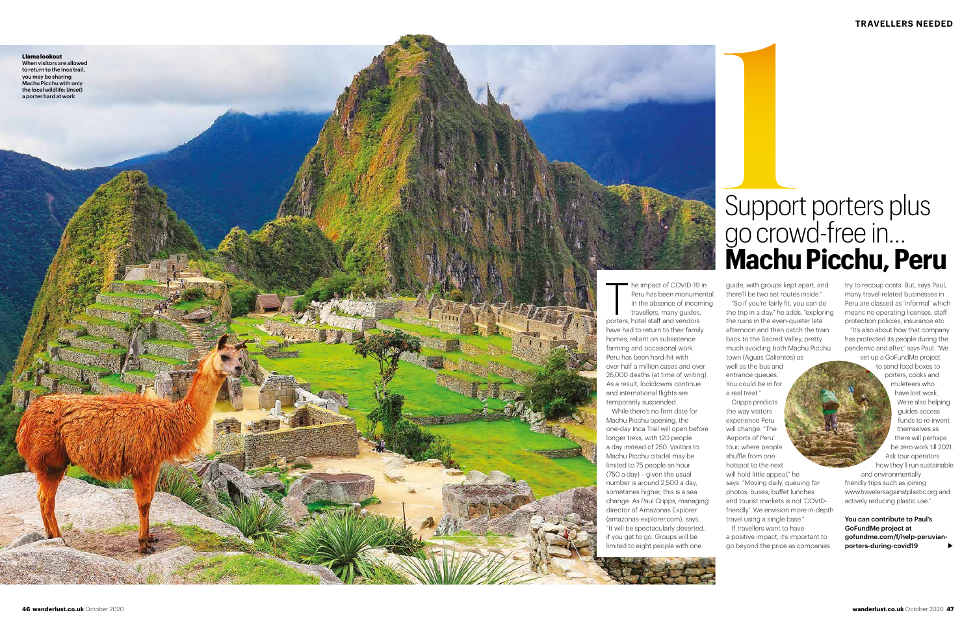**Llama lookout** When visitors are allowed to return to the Inca trail, you may be sharing Machu Picchu with only the local wildlife; (*inset*) a porter hard at work

> The impact of COVID-19<br>Peru has been monume<br>In the absence of incon<br>travellers, many guides,<br>porters, hotel staff and vendors he impact of COVID-19 in Peru has been monumental. In the absence of incoming travellers, many guides, have had to return to their family homes, reliant on subsistence farming and occasional work. Peru has been hard-hit with over half a million cases and over 26,000 deaths (at time of writing). As a result, lockdowns continue and international flights are temporarily suspended.

While there's no firm date for Machu Picchu opening, the one-day Inca Trail will open before longer treks, with 120 people a day instead of 250. Visitors to Machu Picchu citadel may be limited to 75 people an hour (750 a day) – given the usual number is around 2,500 a day, sometimes higher, this is a sea change. As Paul Cripps, managing director of Amazonas Explorer (amazonas-explorer.com), says, "It will be spectacularly deserted, if you get to go. Groups will be limited to eight people with one

to send food boxes to porters, cooks and muleteers who have lost work. We're also helping guides access funds to re-invent themselves as there will perhaps be zero work till 2021. Ask tour operators how they'll run sustainable and environmentally friendly trips such as joining www.travelersagainstplastic.org and actively reducing plastic use."

guide, with groups kept apart, and there'll be two set routes inside." "So if you're fairly fit, you can do

the trip in a day," he adds, "exploring the ruins in the even-quieter late afternoon and then catch the train back to the Sacred Valley, pretty much avoiding both Machu Picchu town (Aguas Calientes) as

## Support porters plus go crowd-free in… **Machu Picchu, Peru**<br> **1**<br> **1**<br> **1**<br> **12**<br> **12**<br> **12**<br> **12**<br> **12**<br> **12**<br> **12**<br> **12**<br> **12**<br> **12**<br> **12**<br> **12**<br> **12**<br> **12**<br> **12**<br> **12**<br> **12**<br> **12**<br> **12**<br> **12**<br> **12**<br> **12**<br> **12**<br> **12**<br> **12**<br> **12**<br> **12**<br> **12**<br> **12**<br> **12**<br> **12**<br>

well as the bus and entrance queues. You could be in for a real treat."

Cripps predicts the way visitors experience Peru will change. "The 'Airports of Peru' tour, where people shuffle from one hotspot to the next will hold little appeal." he says. "Moving daily, queuing for photos, buses, buffet lunches and tourist markets is not 'COVIDfriendly'. We envision more in-depth travel using a single base." If travellers want to have a positive impact, it's important to

go beyond the price as companies

try to recoup costs. But, says Paul, many travel-related businesses in Peru are classed as 'informal' which means no operating licenses, staff protection policies, insurance etc.

"It's also about how that company has protected its people during the pandemic and after," says Paul. "We set up a GoFundMe project

You can contribute to Paul's GoFundMe project at gofundme.com/f/help-peruvianporters-during-covid19 ⊲

Photo credit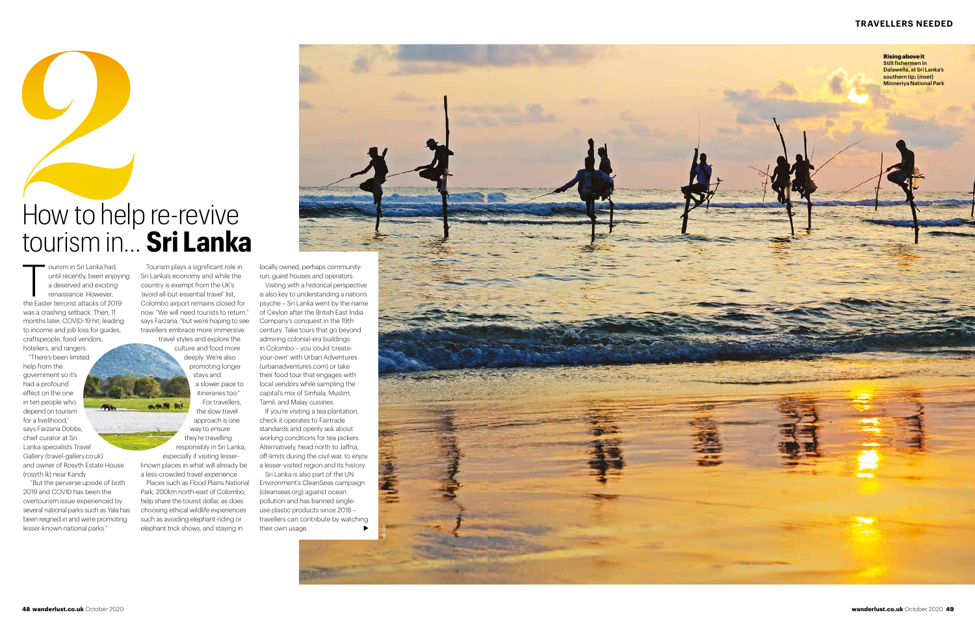### **TRAVELLERS NEEDED**

ourism in Sri Lanka had, until recently, been enjoying a deserved and exciting renaissance. However, the Easter terrorist attacks of 2019 was a crashing setback. Then, 11 months later, COVID-19 hit, leading to income and job loss for guides, craftspeople, food vendors, hoteliers, and rangers.

### How to help re-revive tourism in… **Sri Lanka 2**

"There's been limited help from the government so it's had a profound effect on the one in ten people who depend on tourism for a livelihood," says Farzana Dobbs, chief curator at Sri Lanka specialists Travel Gallery (travel-gallery.co.uk) and owner of Rosyth Estate House (rosyth.lk) near Kandy.

 "But the perverse upside of both 2019 and COVID has been the overtourism issue experienced by several national parks such as Yala has been reigned in and we're promoting lesser-known national parks."

Tourism plays a significant role in Sri Lanka's economy and while the country is exempt from the UK's 'avoid all-but-essential travel' list, Colombo airport remains closed for now. "We will need tourists to return," says Farzana, "but we're hoping to see travellers embrace more immersive

**48 wanderlust.co.uk** October 2020 **wanderlust.co.uk** October 2020 **<sup>49</sup>** <sup>T</sup> Visiting with a historical perspective is also key to understanding a nation's psyche – Sri Lanka went by the name of Ceylon after the British East India Company's conquest in the 19th century. Take tours that go beyond admiring colonial-era buildings in Colombo – you could 'createyour-own' with Urban Adventures (urbanadventures.com) or take their food tour that engages with local vendors while sampling the capital's mix of Sinhala, Muslim, Tamil, and Malay cuisines.

travel styles and explore the culture and food more deeply. We're also promoting longer stays and a slower pace to

> If you're visiting a tea plantation, check it operates to Fairtrade standards and openly ask about working conditions for tea pickers. Alternatively, head north to Jaffna, off-limits during the civil war, to enjoy a lesser-visited region and its history.



the slow-travel approach is one way to ensure



responsibly in Sri Lanka, especially if visiting lesserknown places in what will already be

a less-crowded travel experience. Places such as Flood Plains National Park, 200km north-east of Colombo, help share the tourist dollar, as does choosing ethical wildlife experiences such as avoiding elephant-riding or elephant trick shows, and staying in

locally owned, perhaps communityrun, guest houses and operators.

Sri Lanka is also part of the UN Environment's CleanSeas campaign (cleanseas.org) against ocean pollution and has banned singleuse plastic products since 2018 – travellers can contribute by watching their own usage. ⊲

AWL; Getty

**Rising above it** Stilt fishermen in Dalawella, at Sri Lanka's southern tip; (*inset*) Minneriya National Park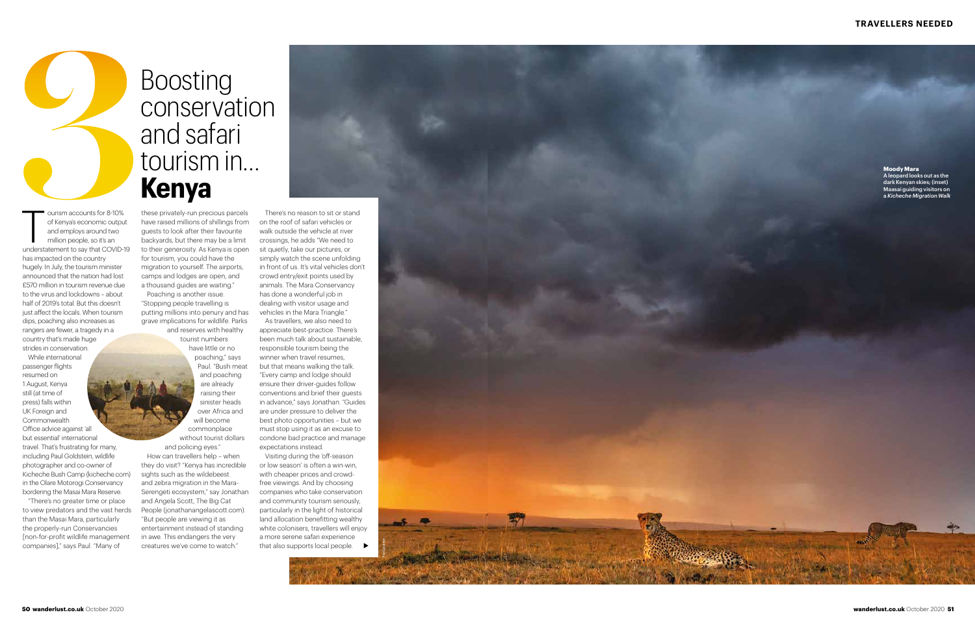### **TRAVELLERS NEEDED**

ourism accounts for 8-10% of Kenya's economic output and employs around two million people, so it's an understatement to say that COVID-19 has impacted on the country hugely. In July, the tourism minister announced that the nation had lost £570 million in tourism revenue due to the virus and lockdowns – about half of 2019's total. But this doesn't just affect the locals. When tourism dips, poaching also increases as rangers are fewer, a tragedy in a country that's made huge strides in conservation.

While international passenger flights resumed on 1 August, Kenya still (at time of press) falls within UK Foreign and Commonwealth Office advice against 'all but essential' international travel. That's frustrating for many, including Paul Goldstein, wildlife photographer and co-owner of Kicheche Bush Camp (kicheche.com) in the Olare Motorogi Conservancy bordering the Masai Mara Reserve.

"There's no greater time or place to view predators and the vast herds than the Masai Mara, particularly the properly-run Conservancies [non-for-profit wildlife management companies]," says Paul. "Many of

Boosting

conservation

and safari

tourism in…



Visiting during the 'off-season or low season' is often a win-win, with cheaper prices and crowdfree viewings. And by choosing companies who take conservation and community tourism seriously, particularly in the light of historical land allocation benefitting wealthy white colonisers, travellers will enjoy a more serene safari experience that also supports local people. ▶

Poaching is another issue. "Stopping people travelling is putting millions into penury and has grave implications for wildlife. Parks

and reserves with healthy tourist numbers

> have little or no poaching," says Paul. "Bush meat and poaching are already raising their



sinister heads over Africa and will become commonplace without tourist dollars

and policing eyes." How can travellers help – when they do visit? "Kenya has incredible sights such as the wildebeest and zebra migration in the Mara-Serengeti ecosystem," say Jonathan and Angela Scott, The Big Cat People (jonathanangelascott.com). "But people are viewing it as entertainment instead of standing in awe. This endangers the very creatures we've come to watch."



There's no reason to sit or stand on the roof of safari vehicles or walk outside the vehicle at river crossings, he adds "We need to sit quietly, take our pictures, or simply watch the scene unfolding in front of us. It's vital vehicles don't crowd entry/exit points used by animals. The Mara Conservancy has done a wonderful job in dealing with visitor usage and vehicles in the Mara Triangle."

As travellers, we also need to appreciate best-practice. There's been much talk about sustainable, responsible tourism being the winner when travel resumes, but that means walking the talk. "Every camp and lodge should ensure their driver-guides follow conventions and brief their guests in advance," says Jonathan. "Guides are under pressure to deliver the best photo opportunities – but we must stop using it as an excuse to condone bad practice and manage expectations instead.

### **Moody Mara**

A leopard looks out as the dark Kenyan skies; (inset) Maasai guiding visitors on a *Kicheche Migration Walk*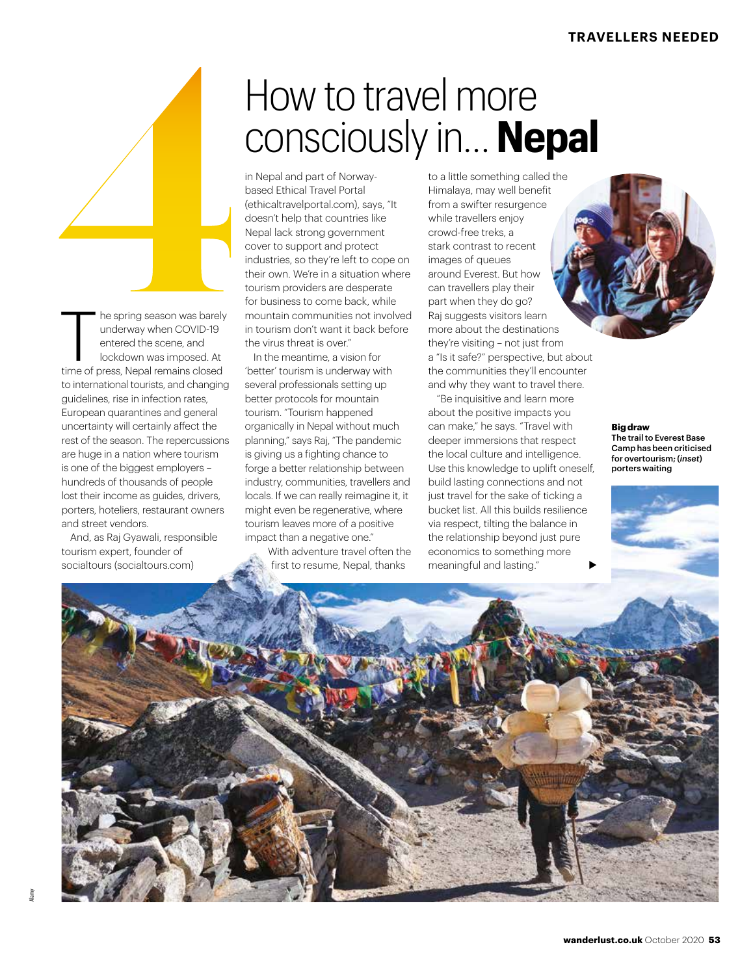# **4**How to travel more consciously in… **Nepal**

based Ethical Travel Portal (ethicaltravelportal.com), says, "It doesn't help that countries like Nepal lack strong government cover to support and protect industries, so they're left to cope on their own. We're in a situation where tourism providers are desperate for business to come back, while mountain communities not involved in tourism don't want it back before the virus threat is over."

in Nepal and part of Norway-

The spring season was barely<br>underway when COVID-19<br>entered the scene, and<br>lockdown was imposed. At<br>time of press, Nepal remains closed

to international tourists, and changing guidelines, rise in infection rates, European quarantines and general uncertainty will certainly affect the rest of the season. The repercussions are huge in a nation where tourism is one of the biggest employers hundreds of thousands of people lost their income as guides, drivers, porters, hoteliers, restaurant owners

And, as Raj Gyawali, responsible

and street vendors.

tourism expert, founder of

he spring season was barely underway when COVID-19 entered the scene, and lockdown was imposed. At

In the meantime, a vision for 'better' tourism is underway with several professionals setting up better protocols for mountain tourism. "Tourism happened organically in Nepal without much planning," says Raj, "The pandemic is giving us a fighting chance to forge a better relationship between industry, communities, travellers and locals. If we can really reimagine it, it might even be regenerative, where tourism leaves more of a positive impact than a negative one."

With adventure travel often the first to resume, Nepal, thanks

to a little something called the Himalaya, may well benefit from a swifter resurgence while travellers enjoy crowd-free treks, a stark contrast to recent images of queues around Everest. But how can travellers play their part when they do go? Raj suggests visitors learn more about the destinations they're visiting – not just from a "Is it safe?" perspective, but about the communities they'll encounter and why they want to travel there.

"Be inquisitive and learn more about the positive impacts you can make," he says. "Travel with deeper immersions that respect the local culture and intelligence. Use this knowledge to uplift oneself, build lasting connections and not just travel for the sake of ticking a bucket list. All this builds resilience via respect, tilting the balance in the relationship beyond just pure economics to something more